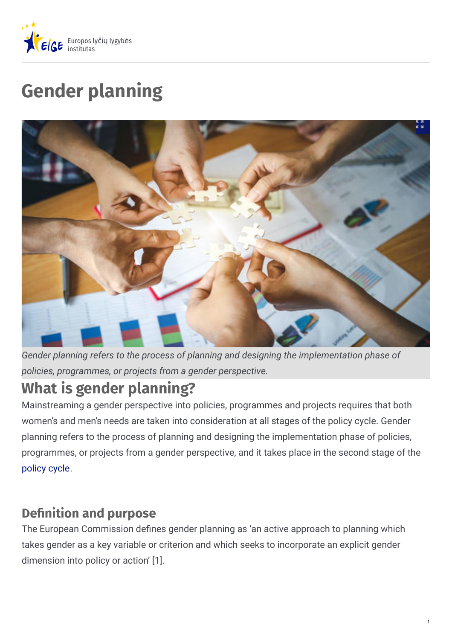

# **Gender planning**



*Gender planning refers to the process of planning and designing the implementation phase of policies, programmes, or projects from a gender perspective.*

# **What is gender planning?**

Mainstreaming a gender perspective into policies, programmes and projects requires that both women's and men's needs are taken into consideration at all stages of the policy cycle. Gender planning refers to the process of planning and designing the implementation phase of policies, programmes, or projects from a gender perspective, and it takes place in the second stage of the [policy](https://eige.europa.eu/gender-mainstreaming/what-is-gender-mainstreaming) cycle.

### **Definition and purpose**

The European Commission defines gender planning as 'an active approach to planning which takes gender as a key variable or criterion and which seeks to incorporate an explicit gender dimension into policy or action' [1].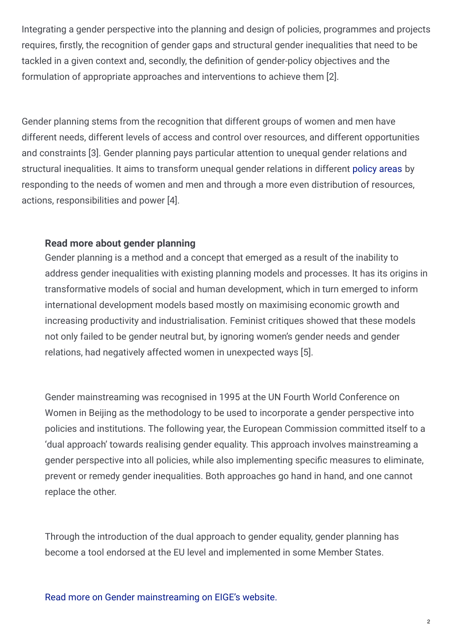Integrating a gender perspective into the planning and design of policies, programmes and projects requires, firstly, the recognition of gender gaps and structural gender inequalities that need to be tackled in a given context and, secondly, the definition of gender-policy objectives and the formulation of appropriate approaches and interventions to achieve them [2].

Gender planning stems from the recognition that different groups of women and men have different needs, different levels of access and control over resources, and different opportunities and constraints [3]. Gender planning pays particular attention to unequal gender relations and structural inequalities. It aims to transform unequal gender relations in different [policy](https://eige.europa.eu/gender-mainstreaming/policy-areas) areas by responding to the needs of women and men and through a more even distribution of resources, actions, responsibilities and power [4].

#### **Read more about gender planning**

Gender planning is a method and a concept that emerged as a result of the inability to address gender inequalities with existing planning models and processes. It has its origins in transformative models of social and human development, which in turn emerged to inform international development models based mostly on maximising economic growth and increasing productivity and industrialisation. Feminist critiques showed that these models not only failed to be gender neutral but, by ignoring women's gender needs and gender relations, had negatively affected women in unexpected ways [5].

Gender mainstreaming was recognised in 1995 at the UN Fourth World Conference on Women in Beijing as the methodology to be used to incorporate a gender perspective into policies and institutions. The following year, the European Commission committed itself to a 'dual approach' towards realising gender equality. This approach involves mainstreaming a gender perspective into all policies, while also implementing specific measures to eliminate, prevent or remedy gender inequalities. Both approaches go hand in hand, and one cannot replace the other.

Through the introduction of the dual approach to gender equality, gender planning has become a tool endorsed at the EU level and implemented in some Member States.

Read more on Gender [mainstreaming](https://eige.europa.eu/gender-mainstreaming/what-is-gender-mainstreaming) on EIGE's website.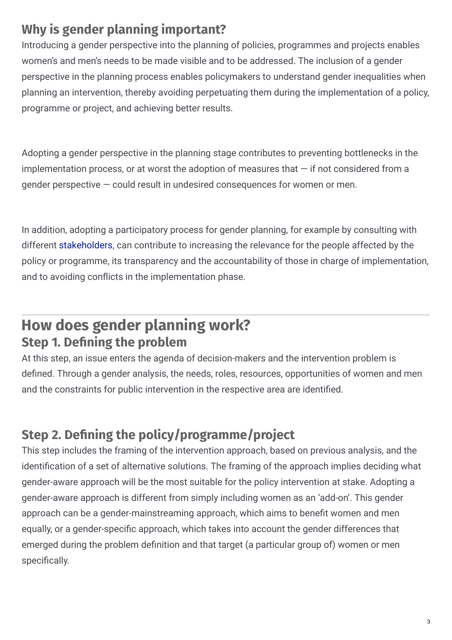## **Why is gender planning important?**

Introducing a gender perspective into the planning of policies, programmes and projects enables women's and men's needs to be made visible and to be addressed. The inclusion of a gender perspective in the planning process enables policymakers to understand gender inequalities when planning an intervention, thereby avoiding perpetuating them during the implementation of a policy, programme or project, and achieving better results.

Adopting a gender perspective in the planning stage contributes to preventing bottlenecks in the implementation process, or at worst the adoption of measures that  $-$  if not considered from a gender perspective — could result in undesired consequences for women or men.

In addition, adopting a participatory process for gender planning, for example by consulting with different [stakeholders](https://eige.europa.eu/gender-mainstreaming/methods-tools/gender-sensitive-stakeholder-consultation), can contribute to increasing the relevance for the people affected by the policy or programme, its transparency and the accountability of those in charge of implementation, and to avoiding conflicts in the implementation phase.

## **How does gender planning work? Step 1. Dening the problem**

At this step, an issue enters the agenda of decision-makers and the intervention problem is defined. Through a gender analysis, the needs, roles, resources, opportunities of women and men and the constraints for public intervention in the respective area are identified.

## **Step 2. Dening the policy/programme/project**

This step includes the framing of the intervention approach, based on previous analysis, and the identification of a set of alternative solutions. The framing of the approach implies deciding what gender-aware approach will be the most suitable for the policy intervention at stake. Adopting a gender-aware approach is different from simply including women as an 'add-on'. This gender approach can be a gender-mainstreaming approach, which aims to benefit women and men equally, or a gender-specific approach, which takes into account the gender differences that emerged during the problem definition and that target (a particular group of) women or men specifically.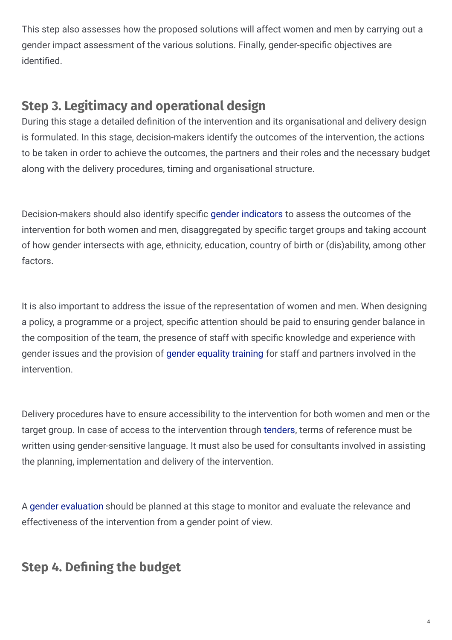This step also assesses how the proposed solutions will affect women and men by carrying out a gender impact assessment of the various solutions. Finally, gender-specific objectives are identified.

### **Step 3. Legitimacy and operational design**

During this stage a detailed definition of the intervention and its organisational and delivery design is formulated. In this stage, decision-makers identify the outcomes of the intervention, the actions to be taken in order to achieve the outcomes, the partners and their roles and the necessary budget along with the delivery procedures, timing and organisational structure.

Decision-makers should also identify specific gender [indicators](https://eige.europa.eu/gender-mainstreaming/methods-tools/gender-statistics-indicators) to assess the outcomes of the intervention for both women and men, disaggregated by specific target groups and taking account of how gender intersects with age, ethnicity, education, country of birth or (dis)ability, among other factors.

It is also important to address the issue of the representation of women and men. When designing a policy, a programme or a project, specific attention should be paid to ensuring gender balance in the composition of the team, the presence of staff with specific knowledge and experience with gender issues and the provision of gender [equality](https://eige.europa.eu/gender-mainstreaming/toolkits/gender-equality-training) training for staff and partners involved in the intervention.

Delivery procedures have to ensure accessibility to the intervention for both women and men or the target group. In case of access to the intervention through [tenders](https://eige.europa.eu/gender-mainstreaming/methods-tools/gender-procurement), terms of reference must be written using gender-sensitive language. It must also be used for consultants involved in assisting the planning, implementation and delivery of the intervention.

A gender [evaluation](https://eige.europa.eu/gender-mainstreaming/methods-tools/gender-evaluation) should be planned at this stage to monitor and evaluate the relevance and effectiveness of the intervention from a gender point of view.

### **Step 4. Dening the budget**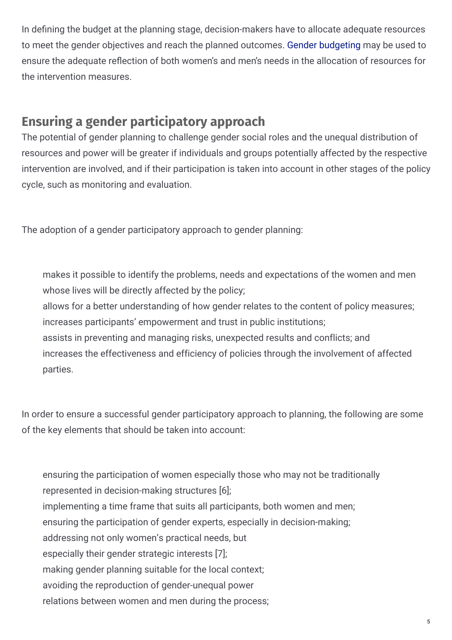In defining the budget at the planning stage, decision-makers have to allocate adequate resources to meet the gender objectives and reach the planned outcomes. Gender [budgeting](https://eige.europa.eu/gender-mainstreaming/methods-tools/gender-budgeting) may be used to ensure the adequate reflection of both women's and men's needs in the allocation of resources for the intervention measures.

#### **Ensuring a gender participatory approach**

The potential of gender planning to challenge gender social roles and the unequal distribution of resources and power will be greater if individuals and groups potentially affected by the respective intervention are involved, and if their participation is taken into account in other stages of the policy cycle, such as monitoring and evaluation.

The adoption of a gender participatory approach to gender planning:

makes it possible to identify the problems, needs and expectations of the women and men whose lives will be directly affected by the policy;

allows for a better understanding of how gender relates to the content of policy measures; increases participants' empowerment and trust in public institutions;

assists in preventing and managing risks, unexpected results and conflicts; and

increases the effectiveness and efficiency of policies through the involvement of affected parties.

In order to ensure a successful gender participatory approach to planning, the following are some of the key elements that should be taken into account:

ensuring the participation of women especially those who may not be traditionally represented in decision-making structures [6]; implementing a time frame that suits all participants, both women and men; ensuring the participation of gender experts, especially in decision-making; addressing not only women's practical needs, but especially their gender strategic interests [7]; making gender planning suitable for the local context; avoiding the reproduction of gender-unequal power relations between women and men during the process;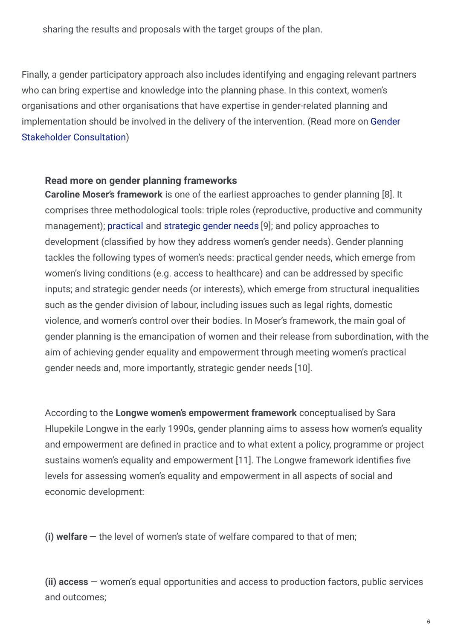sharing the results and proposals with the target groups of the plan.

Finally, a gender participatory approach also includes identifying and engaging relevant partners who can bring expertise and knowledge into the planning phase. In this context, women's organisations and other organisations that have expertise in gender-related planning and [implementation](https://eige.europa.eu/gender-mainstreaming/methods-tools/gender-sensitive-stakeholder-consultation) should be involved in the delivery of the intervention. (Read more on Gender Stakeholder Consultation)

#### **Read more on gender planning frameworks**

**Caroline Moser's framework** is one of the earliest approaches to gender planning [8]. It comprises three methodological tools: triple roles (reproductive, productive and community management); [practical](https://eige.europa.eu/rdc/thesaurus/terms/1323) and [strategic](https://eige.europa.eu/rdc/thesaurus/terms/1397) gender needs [9]; and policy approaches to development (classified by how they address women's gender needs). Gender planning tackles the following types of women's needs: practical gender needs, which emerge from women's living conditions (e.g. access to healthcare) and can be addressed by specific inputs; and strategic gender needs (or interests), which emerge from structural inequalities such as the gender division of labour, including issues such as legal rights, domestic violence, and women's control over their bodies. In Moser's framework, the main goal of gender planning is the emancipation of women and their release from subordination, with the aim of achieving gender equality and empowerment through meeting women's practical gender needs and, more importantly, strategic gender needs [10].

According to the **Longwe women's empowerment framework** conceptualised by Sara Hlupekile Longwe in the early 1990s, gender planning aims to assess how women's equality and empowerment are defined in practice and to what extent a policy, programme or project sustains women's equality and empowerment [11]. The Longwe framework identifies five levels for assessing women's equality and empowerment in all aspects of social and economic development:

**(i) welfare** — the level of women's state of welfare compared to that of men;

**(ii) access** — women's equal opportunities and access to production factors, public services and outcomes;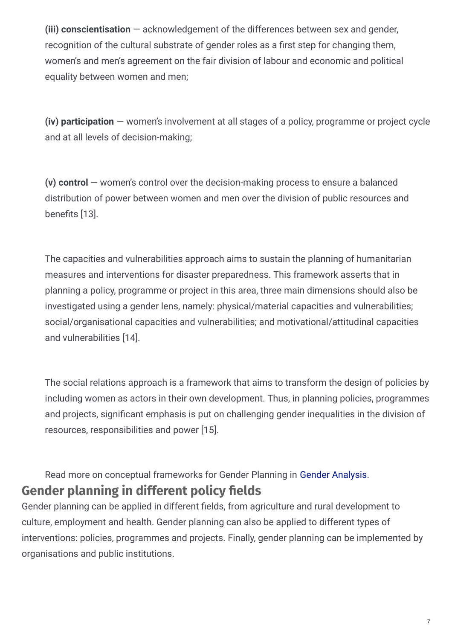**(iii) conscientisation** — acknowledgement of the differences between sex and gender, recognition of the cultural substrate of gender roles as a first step for changing them, women's and men's agreement on the fair division of labour and economic and political equality between women and men;

**(iv) participation** — women's involvement at all stages of a policy, programme or project cycle and at all levels of decision-making;

**(v) control** — women's control over the decision-making process to ensure a balanced distribution of power between women and men over the division of public resources and benefits [13].

The capacities and vulnerabilities approach aims to sustain the planning of humanitarian measures and interventions for disaster preparedness. This framework asserts that in planning a policy, programme or project in this area, three main dimensions should also be investigated using a gender lens, namely: physical/material capacities and vulnerabilities; social/organisational capacities and vulnerabilities; and motivational/attitudinal capacities and vulnerabilities [14].

The social relations approach is a framework that aims to transform the design of policies by including women as actors in their own development. Thus, in planning policies, programmes and projects, significant emphasis is put on challenging gender inequalities in the division of resources, responsibilities and power [15].

Read more on conceptual frameworks for Gender Planning in Gender [Analysis](https://eige.europa.eu/gender-mainstreaming/methods-tools/gender-analysis).

#### **Gender** planning in different policy fields

Gender planning can be applied in different fields, from agriculture and rural development to culture, employment and health. Gender planning can also be applied to different types of interventions: policies, programmes and projects. Finally, gender planning can be implemented by organisations and public institutions.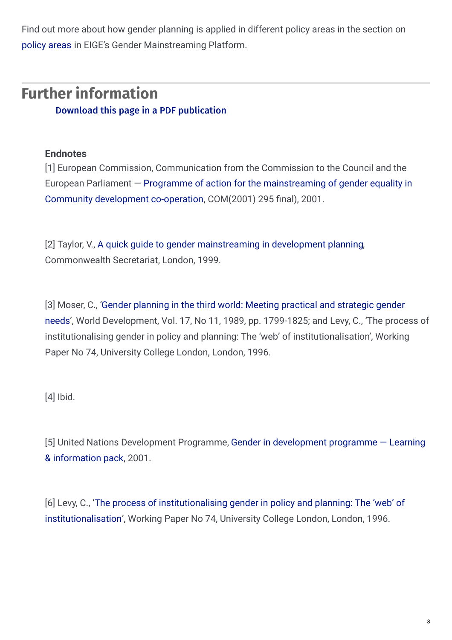Find out more about how gender planning is applied in different policy areas in the section on [policy](https://eige.europa.eu/gender-mainstreaming/policy-areas) areas in EIGE's Gender Mainstreaming Platform.

# **Further information**

Download this page in a PDF [publication](https://eige.europa.eu/sites/default/files/mh0319273enn_002_0.pdf)

#### **Endnotes**

[1] European Commission, Communication from the Commission to the Council and the European Parliament  $-$  Programme of action for the [mainstreaming](http://www.europarl.europa.eu/sides/getDoc.do?pubRef=-//EP//TEXT+REPORT+A5-2002-0066+0+DOC+XML+V0//EN) of gender equality in Community development co-operation, COM(2001) 295 final), 2001.

[2] Taylor, V., A quick guide to gender [mainstreaming](https://www.thecommonwealth-ilibrary.org/commonwealth/social-issues-migration-health/a-quick-guide-to-gender-mainstreaming-in-development-planning_9781848596818-en) in development planning, Commonwealth Secretariat, London, 1999.

[3] Moser, C., 'Gender planning in the third world: Meeting practical and strategic gender needs', World [Development,](http://www.ucl.ac.uk/dpu-projects/drivers_urb_change/urb_society/pdf_gender/DPU_Levy_Institutionalising_Gender.pdf) Vol. 17, No 11, 1989, pp. 1799-1825; and Levy, C., 'The process of institutionalising gender in policy and planning: The 'web' of institutionalisation', Working Paper No 74, University College London, London, 1996.

[4] Ibid.

[5] United Nations [Development](http://www.undp.org/content/dam/undp/library/gender/Institutional Development/TLGEN1.6 UNDP GenderAnalysis toolkit.pdf) Programme, Gender in development programme — Learning & information pack, 2001.

[6] Levy, C., 'The process of institutionalising gender in policy and planning: The 'web' of [institutionalisation',](http://www.ucl.ac.uk/dpu-projects/drivers_urb_change/urb_society/pdf_gender/DPU_Levy_Institutionalising_Gender.pdf) Working Paper No 74, University College London, London, 1996.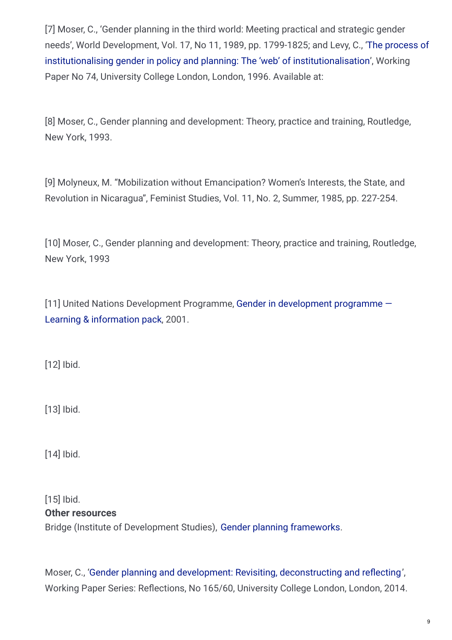[7] Moser, C., 'Gender planning in the third world: Meeting practical and strategic gender needs', World Development, Vol. 17, No 11, 1989, pp. 1799-1825; and Levy, C., 'The process of institutionalising gender in policy and planning: The 'web' of [institutionalisation',](http://www.ucl.ac.uk/dpu-projects/drivers_urb_change/urb_society/pdf_gender/DPU_Levy_Institutionalising_Gender.pdf) Working Paper No 74, University College London, London, 1996. Available at:

[8] Moser, C., Gender planning and development: Theory, practice and training, Routledge, New York, 1993.

[9] Molyneux, M. "Mobilization without Emancipation? Women's Interests, the State, and Revolution in Nicaragua", Feminist Studies, Vol. 11, No. 2, Summer, 1985, pp. 227-254.

[10] Moser, C., Gender planning and development: Theory, practice and training, Routledge, New York, 1993

[11] United Nations [Development](http://www.undp.org/content/dam/undp/library/gender/Institutional Development/TLGEN1.6 UNDP GenderAnalysis toolkit.pdf) Programme, Gender in development programme — Learning & information pack, 2001.

[12] Ibid.

[13] Ibid.

[14] Ibid.

[15] Ibid. Bridge (Institute of Development Studies), Gender planning [frameworks](http://www.bridge.ids.ac.uk/sites/bridge.ids.ac.uk/files/docs_gem/index_implementation/pf_coretext.htm). **Other resources**

Moser, C., 'Gender planning and development: Revisiting, [deconstructing](https://www.ucl.ac.uk/bartlett/development/sites/bartlett/files/wp165.pdf) and reflecting', Working Paper Series: Reflections, No 165/60, University College London, London, 2014.